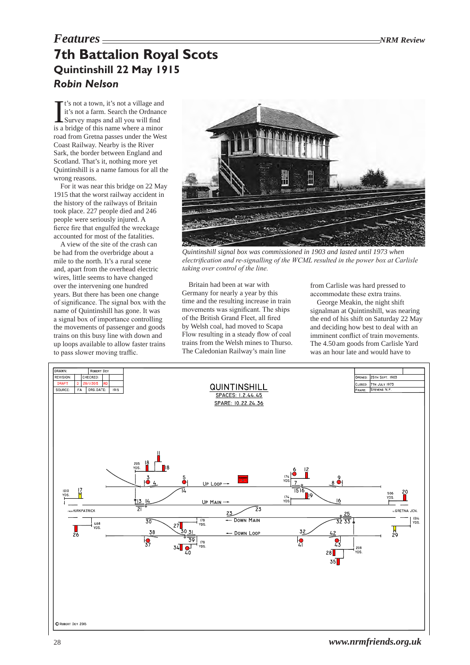# *Features NRM Review* **7th Battalion Royal Scots Quintinshill 22 May 1915** *Robin Nelson*

It's not a town, it's not a village and<br>it's not a farm. Search the Ordnance<br>Survey maps and all you will find<br>is a bridge of this name where a minor t's not a town, it's not a village and it's not a farm. Search the Ordnance Survey maps and all you will find road from Gretna passes under the West Coast Railway. Nearby is the River Sark, the border between England and Scotland. That's it, nothing more yet Quintinshill is a name famous for all the wrong reasons.

For it was near this bridge on 22 May 1915 that the worst railway accident in the history of the railways of Britain took place. 227 people died and 246 people were seriously injured. A fierce fire that engulfed the wreckage accounted for most of the fatalities.

A view of the site of the crash can be had from the overbridge about a mile to the north. It's a rural scene and, apart from the overhead electric wires, little seems to have changed over the intervening one hundred years. But there has been one change of significance. The signal box with the name of Quintinshill has gone. It was a signal box of importance controlling the movements of passenger and goods trains on this busy line with down and up loops available to allow faster trains to pass slower moving traffic.



*Quintinshill signal box was commissioned in 1903 and lasted until 1973 when electrification and re-signalling of the WCML resulted in the power box at Carlisle taking over control of the line.*

Britain had been at war with Germany for nearly a year by this time and the resulting increase in train movements was significant. The ships of the British Grand Fleet, all fired by Welsh coal, had moved to Scapa Flow resulting in a steady flow of coal trains from the Welsh mines to Thurso. The Caledonian Railway's main line

from Carlisle was hard pressed to accommodate these extra trains.

George Meakin, the night shift signalman at Quintinshill, was nearing the end of his shift on Saturday 22 May and deciding how best to deal with an imminent conflict of train movements. The 4.50 am goods from Carlisle Yard was an hour late and would have to

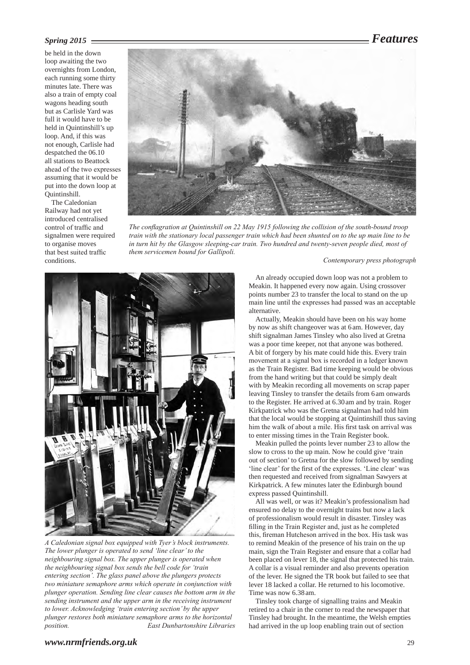## *Spring 2015 Features*

be held in the down loop awaiting the two overnights from London, each running some thirty minutes late. There was also a train of empty coal wagons heading south but as Carlisle Yard was full it would have to be held in Quintinshill's up loop. And, if this was not enough, Carlisle had despatched the 06.10 all stations to Beattock ahead of the two expresses assuming that it would be put into the down loop at Quintinshill.

The Caledonian Railway had not yet introduced centralised control of traffic and signalmen were required to organise moves that best suited traffic conditions.

![](_page_1_Picture_4.jpeg)

*The conflagration at Quintinshill on 22 May 1915 following the collision of the south-bound troop train with the stationary local passenger train which had been shunted on to the up main line to be in turn hit by the Glasgow sleeping-car train. Two hundred and twenty-seven people died, most of them servicemen bound for Gallipoli.*

*Contemporary press photograph*

![](_page_1_Picture_7.jpeg)

*A Caledonian signal box equipped with Tyer's block instruments. The lower plunger is operated to send 'line clear' to the neighbouring signal box. The upper plunger is operated when the neighbouring signal box sends the bell code for 'train entering section'. The glass panel above the plungers protects two miniature semaphore arms which operate in conjunction with plunger operation. Sending line clear causes the bottom arm in the sending instrument and the upper arm in the receiving instrument to lower. Acknowledging 'train entering section' by the upper plunger restores both miniature semaphore arms to the horizontal*   $E$ ast Dunbartonshire Libraries

An already occupied down loop was not a problem to Meakin. It happened every now again. Using crossover points number 23 to transfer the local to stand on the up main line until the expresses had passed was an acceptable alternative.

Actually, Meakin should have been on his way home by now as shift changeover was at 6am. However, day shift signalman James Tinsley who also lived at Gretna was a poor time keeper, not that anyone was bothered. A bit of forgery by his mate could hide this. Every train movement at a signal box is recorded in a ledger known as the Train Register. Bad time keeping would be obvious from the hand writing but that could be simply dealt with by Meakin recording all movements on scrap paper leaving Tinsley to transfer the details from 6am onwards to the Register. He arrived at 6.30am and by train. Roger Kirkpatrick who was the Gretna signalman had told him that the local would be stopping at Quintinshill thus saving him the walk of about a mile. His first task on arrival was to enter missing times in the Train Register book.

Meakin pulled the points lever number 23 to allow the slow to cross to the up main. Now he could give 'train out of section' to Gretna for the slow followed by sending 'line clear' for the first of the expresses. 'Line clear' was then requested and received from signalman Sawyers at Kirkpatrick. A few minutes later the Edinburgh bound express passed Quintinshill.

All was well, or was it? Meakin's professionalism had ensured no delay to the overnight trains but now a lack of professionalism would result in disaster. Tinsley was filling in the Train Register and, just as he completed this, fireman Hutcheson arrived in the box. His task was to remind Meakin of the presence of his train on the up main, sign the Train Register and ensure that a collar had been placed on lever 18, the signal that protected his train. A collar is a visual reminder and also prevents operation of the lever. He signed the TR book but failed to see that lever 18 lacked a collar. He returned to his locomotive. Time was now 6.38 am.

Tinsley took charge of signalling trains and Meakin retired to a chair in the corner to read the newspaper that Tinsley had brought. In the meantime, the Welsh empties had arrived in the up loop enabling train out of section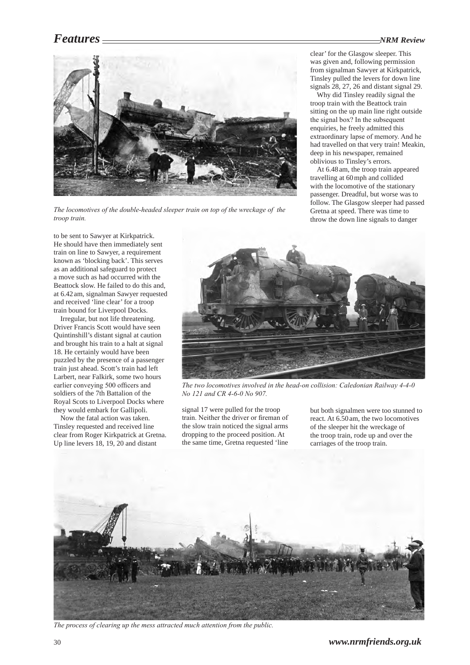### *Features NRM Review*

clear' for the Glasgow sleeper. This was given and, following permission from signalman Sawyer at Kirkpatrick, Tinsley pulled the levers for down line signals 28, 27, 26 and distant signal 29. Why did Tinsley readily signal the troop train with the Beattock train sitting on the up main line right outside the signal box? In the subsequent enquiries, he freely admitted this extraordinary lapse of memory. And he had travelled on that very train! Meakin, deep in his newspaper, remained oblivious to Tinsley's errors.

At 6.48am, the troop train appeared travelling at 60mph and collided with the locomotive of the stationary passenger. Dreadful, but worse was to follow. The Glasgow sleeper had passed Gretna at speed. There was time to throw the down line signals to danger

![](_page_2_Picture_2.jpeg)

*The locomotives of the double-headed sleeper train on top of the wreckage of the troop train.*

to be sent to Sawyer at Kirkpatrick. He should have then immediately sent train on line to Sawyer, a requirement known as 'blocking back'. This serves as an additional safeguard to protect a move such as had occurred with the Beattock slow. He failed to do this and, at 6.42am, signalman Sawyer requested and received 'line clear' for a troop train bound for Liverpool Docks.

Irregular, but not life threatening. Driver Francis Scott would have seen Quintinshill's distant signal at caution and brought his train to a halt at signal 18. He certainly would have been puzzled by the presence of a passenger train just ahead. Scott's train had left Larbert, near Falkirk, some two hours earlier conveying 500 officers and soldiers of the 7th Battalion of the Royal Scots to Liverpool Docks where they would embark for Gallipoli.

Now the fatal action was taken. Tinsley requested and received line clear from Roger Kirkpatrick at Gretna. Up line levers 18, 19, 20 and distant

![](_page_2_Picture_7.jpeg)

*The two locomotives involved in the head-on collision: Caledonian Railway 4‑4‑0 No 121 and CR 4‑6‑0 No 907.*

signal 17 were pulled for the troop train. Neither the driver or fireman of the slow train noticed the signal arms dropping to the proceed position. At the same time, Gretna requested 'line

but both signalmen were too stunned to react. At 6.50 am, the two locomotives of the sleeper hit the wreckage of the troop train, rode up and over the carriages of the troop train.

![](_page_2_Picture_11.jpeg)

*The process of clearing up the mess attracted much attention from the public.*

30 *www.nrmfriends.org.uk*